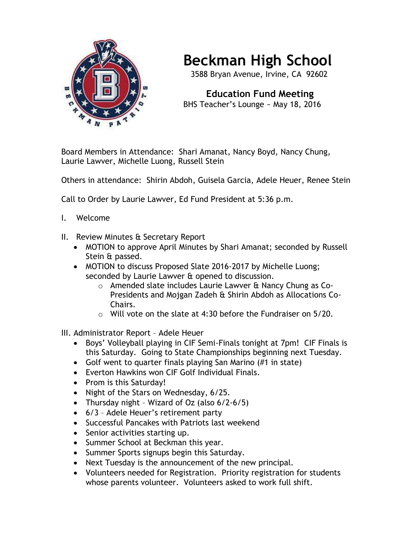

## **Beckman High School**

3588 Bryan Avenue, Irvine, CA 92602

 **Education Fund Meeting** BHS Teacher's Lounge ~ May 18, 2016

Board Members in Attendance: Shari Amanat, Nancy Boyd, Nancy Chung, Laurie Lawver, Michelle Luong, Russell Stein

Others in attendance: Shirin Abdoh, Guisela Garcia, Adele Heuer, Renee Stein

Call to Order by Laurie Lawver, Ed Fund President at 5:36 p.m.

- I. Welcome
- II. Review Minutes & Secretary Report
	- MOTION to approve April Minutes by Shari Amanat; seconded by Russell Stein & passed.
	- MOTION to discuss Proposed Slate 2016-2017 by Michelle Luong; seconded by Laurie Lawver & opened to discussion.
		- o Amended slate includes Laurie Lawver & Nancy Chung as Co-Presidents and Mojgan Zadeh & Shirin Abdoh as Allocations Co-Chairs.
		- o Will vote on the slate at 4:30 before the Fundraiser on 5/20.
- III. Administrator Report Adele Heuer
	- Boys' Volleyball playing in CIF Semi-Finals tonight at 7pm! CIF Finals is this Saturday. Going to State Championships beginning next Tuesday.
	- Golf went to quarter finals playing San Marino (#1 in state)
	- Everton Hawkins won CIF Golf Individual Finals.
	- Prom is this Saturday!
	- Night of the Stars on Wednesday, 6/25.
	- Thursday night Wizard of Oz (also 6/2-6/5)
	- 6/3 Adele Heuer's retirement party
	- Successful Pancakes with Patriots last weekend
	- Senior activities starting up.
	- Summer School at Beckman this year.
	- Summer Sports signups begin this Saturday.
	- Next Tuesday is the announcement of the new principal.
	- Volunteers needed for Registration. Priority registration for students whose parents volunteer. Volunteers asked to work full shift.